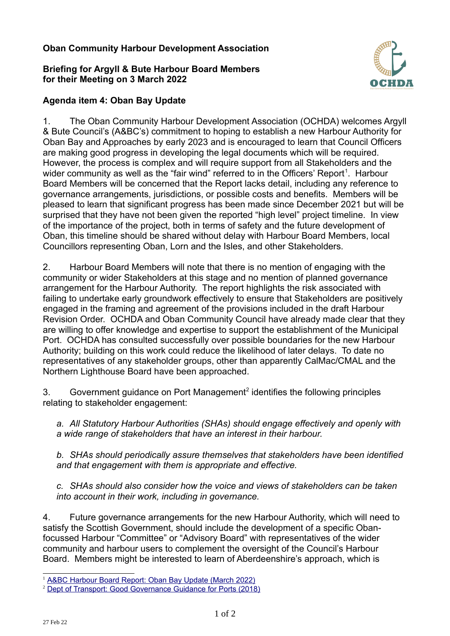## **Oban Community Harbour Development Association**

## **Briefing for Argyll & Bute Harbour Board Members for their Meeting on 3 March 2022**



## **Agenda item 4: Oban Bay Update**

1. The Oban Community Harbour Development Association (OCHDA) welcomes Argyll & Bute Council's (A&BC's) commitment to hoping to establish a new Harbour Authority for Oban Bay and Approaches by early 2023 and is encouraged to learn that Council Officers are making good progress in developing the legal documents which will be required. However, the process is complex and will require support from all Stakeholders and the wider community as well as the "fair wind" referred to in the Officers' Report<sup>[1](#page-0-0)</sup>. Harbour Board Members will be concerned that the Report lacks detail, including any reference to governance arrangements, jurisdictions, or possible costs and benefits. Members will be pleased to learn that significant progress has been made since December 2021 but will be surprised that they have not been given the reported "high level" project timeline. In view of the importance of the project, both in terms of safety and the future development of Oban, this timeline should be shared without delay with Harbour Board Members, local Councillors representing Oban, Lorn and the Isles, and other Stakeholders.

2. Harbour Board Members will note that there is no mention of engaging with the community or wider Stakeholders at this stage and no mention of planned governance arrangement for the Harbour Authority. The report highlights the risk associated with failing to undertake early groundwork effectively to ensure that Stakeholders are positively engaged in the framing and agreement of the provisions included in the draft Harbour Revision Order. OCHDA and Oban Community Council have already made clear that they are willing to offer knowledge and expertise to support the establishment of the Municipal Port. OCHDA has consulted successfully over possible boundaries for the new Harbour Authority; building on this work could reduce the likelihood of later delays. To date no representatives of any stakeholder groups, other than apparently CalMac/CMAL and the Northern Lighthouse Board have been approached.

3. Government guidance on Port Management<sup>[2](#page-0-1)</sup> identifies the following principles relating to stakeholder engagement:

*a. All Statutory Harbour Authorities (SHAs) should engage effectively and openly with a wide range of stakeholders that have an interest in their harbour.*

*b. SHAs should periodically assure themselves that stakeholders have been identified and that engagement with them is appropriate and effective.*

*c. SHAs should also consider how the voice and views of stakeholders can be taken into account in their work, including in governance.*

4. Future governance arrangements for the new Harbour Authority, which will need to satisfy the Scottish Government, should include the development of a specific Obanfocussed Harbour "Committee" or "Advisory Board" with representatives of the wider community and harbour users to complement the oversight of the Council's Harbour Board. Members might be interested to learn of Aberdeenshire's approach, which is

<span id="page-0-0"></span>[A&BC Harbour Board Report: Oban Bay Update \(March 2022\)](https://www.argyll-bute.gov.uk/moderngov/documents/g14571/Public%20reports%20pack%20Thursday%2003-Mar-2022%2012.30%20Argyll%20and%20Bute%20Harbour%20Board.pdf?T=10)

<span id="page-0-1"></span><sup>2</sup> [Dept of Transport: Good Governance Guidance for Ports \(2018\)](https://www.gov.uk/government/publications/good-governance-guidance-for-ports)